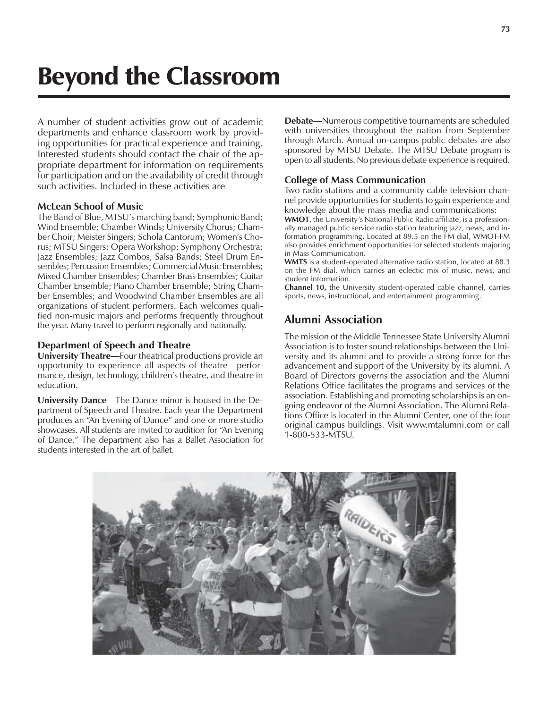# Beyond the Classroom

A number of student activities grow out of academic departments and enhance classroom work by providing opportunities for practical experience and training. Interested students should contact the chair of the appropriate department for information on requirements for participation and on the availability of credit through such activities. Included in these activities are

#### **McLean School of Music**

The Band of Blue, MTSU's marching band; Symphonic Band; Wind Ensemble; Chamber Winds; University Chorus; Chamber Choir; Meister Singers; Schola Cantorum; Womenís Chorus; MTSU Singers; Opera Workshop; Symphony Orchestra; Jazz Ensembles; Jazz Combos; Salsa Bands; Steel Drum Ensembles; Percussion Ensembles; Commercial Music Ensembles; Mixed Chamber Ensembles; Chamber Brass Ensembles; Guitar Chamber Ensemble; Piano Chamber Ensemble; String Chamber Ensembles; and Woodwind Chamber Ensembles are all organizations of student performers. Each welcomes qualified non-music majors and performs frequently throughout the year. Many travel to perform regionally and nationally.

#### **Department of Speech and Theatre**

**University Theatre—Four theatrical productions provide an** opportunity to experience all aspects of theatre—performance, design, technology, children's theatre, and theatre in education.

**University Dance**—The Dance minor is housed in the Department of Speech and Theatre. Each year the Department produces an "An Evening of Dance" and one or more studio showcases. All students are invited to audition for "An Evening" of Dance." The department also has a Ballet Association for students interested in the art of ballet.

**Debate**—Numerous competitive tournaments are scheduled with universities throughout the nation from September through March. Annual on-campus public debates are also sponsored by MTSU Debate. The MTSU Debate program is open to all students. No previous debate experience is required.

#### **College of Mass Communication**

Two radio stations and a community cable television channel provide opportunities for students to gain experience and knowledge about the mass media and communications:

**WMOT**, the University's National Public Radio affiliate, is a professionally managed public service radio station featuring jazz, news, and information programming. Located at 89.5 on the FM dial, WMOT-FM also provides enrichment opportunities for selected students majoring in Mass Communication.

**WMTS** is a student-operated alternative radio station, located at 88.3 on the FM dial, which carries an eclectic mix of music, news, and student information.

**Channel 10,** the University student-operated cable channel, carries sports, news, instructional, and entertainment programming.

### **Alumni Association**

The mission of the Middle Tennessee State University Alumni Association is to foster sound relationships between the University and its alumni and to provide a strong force for the advancement and support of the University by its alumni. A Board of Directors governs the association and the Alumni Relations Office facilitates the programs and services of the association. Establishing and promoting scholarships is an ongoing endeavor of the Alumni Association. The Alumni Relations Office is located in the Alumni Center, one of the four original campus buildings. Visit www.mtalumni.com or call 1-800-533-MTSU.